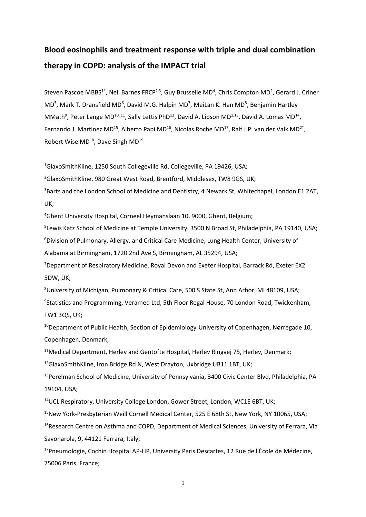# **Blood eosinophils and treatment response with triple and dual combination therapy in COPD: analysis of the IMPACT trial**

Steven Pascoe MBBS<sup>1\*</sup>, Neil Barnes FRCP<sup>2,3</sup>, Guy Brusselle MD<sup>4</sup>, Chris Compton MD<sup>2</sup>, Gerard J. Criner MD<sup>5</sup>, Mark T. Dransfield MD<sup>6</sup>, David M.G. Halpin MD<sup>7</sup>, MeiLan K. Han MD<sup>8</sup>, Benjamin Hartley MMath<sup>9</sup>, Peter Lange MD<sup>10, 11</sup>, Sally Lettis PhD<sup>12</sup>, David A. Lipson MD<sup>1,13</sup>, David A. Lomas MD<sup>14</sup>, Fernando J. Martinez MD<sup>15</sup>, Alberto Papi MD<sup>16</sup>, Nicolas Roche MD<sup>17</sup>, Ralf J.P. van der Valk MD<sup>2\*</sup>, Robert Wise MD<sup>18</sup>, Dave Singh MD<sup>19</sup>

<sup>1</sup>GlaxoSmithKline, 1250 South Collegeville Rd, Collegeville, PA 19426, USA;

<sup>2</sup>GlaxoSmithKline, 980 Great West Road, Brentford, Middlesex, TW8 9GS, UK;

<sup>3</sup>Barts and the London School of Medicine and Dentistry, 4 Newark St, Whitechapel, London E1 2AT, UK;

<sup>4</sup>Ghent University Hospital, Corneel Heymanslaan 10, 9000, Ghent, Belgium;

5 Lewis Katz School of Medicine at Temple University, 3500 N Broad St, Philadelphia, PA 19140, USA; <sup>6</sup>Division of Pulmonary, Allergy, and Critical Care Medicine, Lung Health Center, University of Alabama at Birmingham, 1720 2nd Ave S, Birmingham, AL 35294, USA;

<sup>7</sup>Department of Respiratory Medicine, Royal Devon and Exeter Hospital, Barrack Rd, Exeter EX2 5DW, UK;

<sup>8</sup>University of Michigan, Pulmonary & Critical Care, 500 S State St, Ann Arbor, MI 48109, USA; 9 Statistics and Programming, Veramed Ltd, 5th Floor Regal House, 70 London Road, Twickenham, TW1 3QS, UK;

<sup>10</sup>Department of Public Health, Section of Epidemiology University of Copenhagen, Nørregade 10, Copenhagen, Denmark;

<sup>11</sup>Medical Department, Herlev and Gentofte Hospital, Herlev Ringvej 75, Herlev, Denmark;  $12$ GlaxoSmithKline, Iron Bridge Rd N, West Drayton, Uxbridge UB11 1BT, UK;

<sup>13</sup>Perelman School of Medicine, University of Pennsylvania, 3400 Civic Center Blvd, Philadelphia, PA 19104, USA;

<sup>14</sup>UCL Respiratory, University College London, Gower Street, London, WC1E 6BT, UK;

<sup>15</sup>New York-Presbyterian Weill Cornell Medical Center, 525 E 68th St, New York, NY 10065, USA;

<sup>16</sup>Research Centre on Asthma and COPD, Department of Medical Sciences, University of Ferrara, Via Savonarola, 9, 44121 Ferrara, Italy;

<sup>17</sup>Pneumologie, Cochin Hospital AP-HP, University Paris Descartes, 12 Rue de l'École de Médecine, 75006 Paris, France;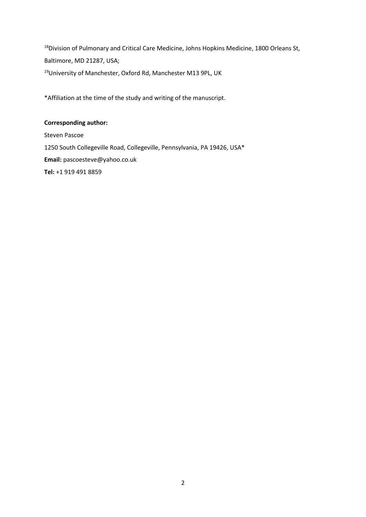<sup>18</sup>Division of Pulmonary and Critical Care Medicine, Johns Hopkins Medicine, 1800 Orleans St, Baltimore, MD 21287, USA; <sup>19</sup>University of Manchester, Oxford Rd, Manchester M13 9PL, UK

\*Affiliation at the time of the study and writing of the manuscript.

# **Corresponding author:**

Steven Pascoe 1250 South Collegeville Road, Collegeville, Pennsylvania, PA 19426, USA\* **Email:** pascoesteve@yahoo.co.uk **Tel:** +1 919 491 8859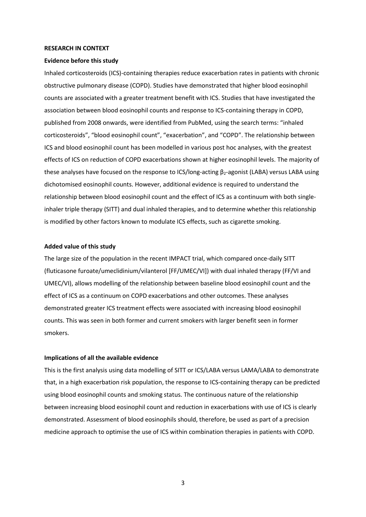#### **RESEARCH IN CONTEXT**

#### **Evidence before this study**

Inhaled corticosteroids (ICS)-containing therapies reduce exacerbation rates in patients with chronic obstructive pulmonary disease (COPD). Studies have demonstrated that higher blood eosinophil counts are associated with a greater treatment benefit with ICS. Studies that have investigated the association between blood eosinophil counts and response to ICS-containing therapy in COPD, published from 2008 onwards, were identified from PubMed, using the search terms: "inhaled corticosteroids", "blood eosinophil count", "exacerbation", and "COPD". The relationship between ICS and blood eosinophil count has been modelled in various post hoc analyses, with the greatest effects of ICS on reduction of COPD exacerbations shown at higher eosinophil levels. The majority of these analyses have focused on the response to ICS/long-acting  $\beta_2$ -agonist (LABA) versus LABA using dichotomised eosinophil counts. However, additional evidence is required to understand the relationship between blood eosinophil count and the effect of ICS as a continuum with both singleinhaler triple therapy (SITT) and dual inhaled therapies, and to determine whether this relationship is modified by other factors known to modulate ICS effects, such as cigarette smoking.

## **Added value of this study**

The large size of the population in the recent IMPACT trial, which compared once-daily SITT (fluticasone furoate/umeclidinium/vilanterol [FF/UMEC/VI]) with dual inhaled therapy (FF/VI and UMEC/VI), allows modelling of the relationship between baseline blood eosinophil count and the effect of ICS as a continuum on COPD exacerbations and other outcomes. These analyses demonstrated greater ICS treatment effects were associated with increasing blood eosinophil counts. This was seen in both former and current smokers with larger benefit seen in former smokers.

#### **Implications of all the available evidence**

This is the first analysis using data modelling of SITT or ICS/LABA versus LAMA/LABA to demonstrate that, in a high exacerbation risk population, the response to ICS-containing therapy can be predicted using blood eosinophil counts and smoking status. The continuous nature of the relationship between increasing blood eosinophil count and reduction in exacerbations with use of ICS is clearly demonstrated. Assessment of blood eosinophils should, therefore, be used as part of a precision medicine approach to optimise the use of ICS within combination therapies in patients with COPD.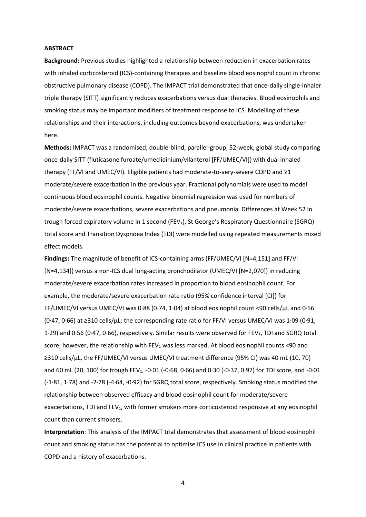## **ABSTRACT**

**Background:** Previous studies highlighted a relationship between reduction in exacerbation rates with inhaled corticosteroid (ICS)-containing therapies and baseline blood eosinophil count in chronic obstructive pulmonary disease (COPD). The IMPACT trial demonstrated that once-daily single-inhaler triple therapy (SITT) significantly reduces exacerbations versus dual therapies. Blood eosinophils and smoking status may be important modifiers of treatment response to ICS. Modelling of these relationships and their interactions, including outcomes beyond exacerbations, was undertaken here.

**Methods:** IMPACT was a randomised, double-blind, parallel-group, 52-week, global study comparing once-daily SITT (fluticasone furoate/umeclidinium/vilanterol [FF/UMEC/VI]) with dual inhaled therapy (FF/VI and UMEC/VI). Eligible patients had moderate-to-very-severe COPD and ≥1 moderate/severe exacerbation in the previous year. Fractional polynomials were used to model continuous blood eosinophil counts. Negative binomial regression was used for numbers of moderate/severe exacerbations, severe exacerbations and pneumonia. Differences at Week 52 in trough forced expiratory volume in 1 second (FEV<sub>1</sub>), St George's Respiratory Questionnaire (SGRQ) total score and Transition Dyspnoea Index (TDI) were modelled using repeated measurements mixed effect models.

**Findings:** The magnitude of benefit of ICS-containing arms (FF/UMEC/VI [N=4,151] and FF/VI [N=4,134]) versus a non-ICS dual long-acting bronchodilator (UMEC/VI [N=2,070]) in reducing moderate/severe exacerbation rates increased in proportion to blood eosinophil count. For example, the moderate/severe exacerbation rate ratio (95% confidence interval [CI]) for FF/UMEC/VI versus UMEC/VI was 0·88 (0·74, 1·04) at blood eosinophil count <90 cells/µL and 0·56 (0·47, 0·66) at ≥310 cells/µL; the corresponding rate ratio for FF/VI versus UMEC/VI was 1·09 (0·91, 1.29) and 0.56 (0.47, 0.66), respectively. Similar results were observed for FEV<sub>1</sub>, TDI and SGRQ total score; however, the relationship with  $FEV_1$  was less marked. At blood eosinophil counts <90 and ≥310 cells/µL, the FF/UMEC/VI versus UMEC/VI treatment difference (95% CI) was 40 mL (10, 70) and 60 mL (20, 100) for trough FEV<sub>1</sub>, -0·01 (-0·68, 0·66) and 0·30 (-0·37, 0·97) for TDI score, and -0·01 (-1·81, 1·78) and -2·78 (-4·64, -0·92) for SGRQ total score, respectively. Smoking status modified the relationship between observed efficacy and blood eosinophil count for moderate/severe exacerbations. TDI and FEV<sub>1</sub>, with former smokers more corticosteroid responsive at any eosinophil count than current smokers.

**Interpretation**: This analysis of the IMPACT trial demonstrates that assessment of blood eosinophil count and smoking status has the potential to optimise ICS use in clinical practice in patients with COPD and a history of exacerbations.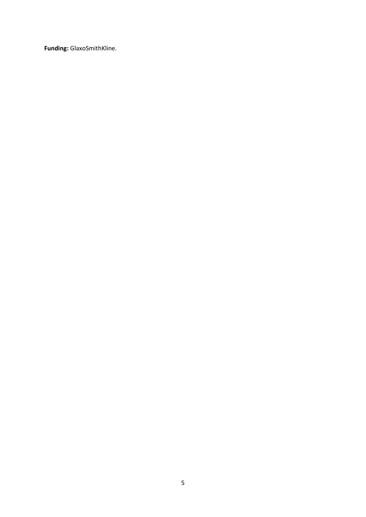**Funding:** GlaxoSmithKline.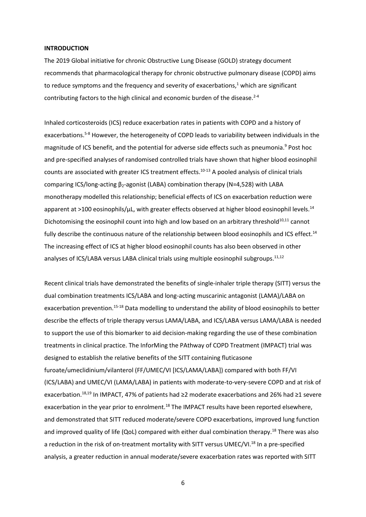#### **INTRODUCTION**

The 2019 Global initiative for chronic Obstructive Lung Disease (GOLD) strategy document recommends that pharmacological therapy for chronic obstructive pulmonary disease (COPD) aims to reduce symptoms and the frequency and severity of exacerbations, $1$  which are significant contributing factors to the high clinical and economic burden of the disease. $2-4$ 

Inhaled corticosteroids (ICS) reduce exacerbation rates in patients with COPD and a history of exacerbations.5-8 However, the heterogeneity of COPD leads to variability between individuals in the magnitude of ICS benefit, and the potential for adverse side effects such as pneumonia.<sup>9</sup> Post hoc and pre-specified analyses of randomised controlled trials have shown that higher blood eosinophil counts are associated with greater ICS treatment effects.10-13 A pooled analysis of clinical trials comparing ICS/long-acting β<sub>2</sub>-agonist (LABA) combination therapy (N=4,528) with LABA monotherapy modelled this relationship; beneficial effects of ICS on exacerbation reduction were apparent at >100 eosinophils/ $\mu$ L, with greater effects observed at higher blood eosinophil levels.<sup>14</sup> Dichotomising the eosinophil count into high and low based on an arbitrary threshold<sup>10,11</sup> cannot fully describe the continuous nature of the relationship between blood eosinophils and ICS effect.<sup>14</sup> The increasing effect of ICS at higher blood eosinophil counts has also been observed in other analyses of ICS/LABA versus LABA clinical trials using multiple eosinophil subgroups.<sup>11,12</sup>

Recent clinical trials have demonstrated the benefits of single-inhaler triple therapy (SITT) versus the dual combination treatments ICS/LABA and long-acting muscarinic antagonist (LAMA)/LABA on exacerbation prevention.<sup>15-18</sup> Data modelling to understand the ability of blood eosinophils to better describe the effects of triple therapy versus LAMA/LABA, and ICS/LABA versus LAMA/LABA is needed to support the use of this biomarker to aid decision-making regarding the use of these combination treatments in clinical practice. The InforMing the PAthway of COPD Treatment (IMPACT) trial was designed to establish the relative benefits of the SITT containing fluticasone furoate/umeclidinium/vilanterol (FF/UMEC/VI [ICS/LAMA/LABA]) compared with both FF/VI (ICS/LABA) and UMEC/VI (LAMA/LABA) in patients with moderate-to-very-severe COPD and at risk of exacerbation.18,19 In IMPACT, 47% of patients had ≥2 moderate exacerbations and 26% had ≥1 severe exacerbation in the year prior to enrolment.<sup>18</sup> The IMPACT results have been reported elsewhere, and demonstrated that SITT reduced moderate/severe COPD exacerbations, improved lung function and improved quality of life (QoL) compared with either dual combination therapy.<sup>18</sup> There was also a reduction in the risk of on-treatment mortality with SITT versus UMEC/VI.<sup>18</sup> In a pre-specified analysis, a greater reduction in annual moderate/severe exacerbation rates was reported with SITT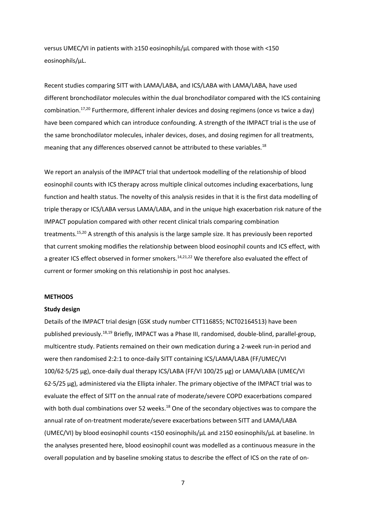versus UMEC/VI in patients with ≥150 eosinophils/µL compared with those with <150 eosinophils/µL.

Recent studies comparing SITT with LAMA/LABA, and ICS/LABA with LAMA/LABA, have used different bronchodilator molecules within the dual bronchodilator compared with the ICS containing combination.<sup>17,20</sup> Furthermore, different inhaler devices and dosing regimens (once vs twice a day) have been compared which can introduce confounding. A strength of the IMPACT trial is the use of the same bronchodilator molecules, inhaler devices, doses, and dosing regimen for all treatments, meaning that any differences observed cannot be attributed to these variables.<sup>18</sup>

We report an analysis of the IMPACT trial that undertook modelling of the relationship of blood eosinophil counts with ICS therapy across multiple clinical outcomes including exacerbations, lung function and health status. The novelty of this analysis resides in that it is the first data modelling of triple therapy or ICS/LABA versus LAMA/LABA, and in the unique high exacerbation risk nature of the IMPACT population compared with other recent clinical trials comparing combination treatments.15,20 A strength of this analysis is the large sample size. It has previously been reported that current smoking modifies the relationship between blood eosinophil counts and ICS effect, with a greater ICS effect observed in former smokers.<sup>14,21,22</sup> We therefore also evaluated the effect of current or former smoking on this relationship in post hoc analyses.

# **METHODS**

#### **Study design**

Details of the IMPACT trial design (GSK study number CTT116855; NCT02164513) have been published previously.18,19 Briefly, IMPACT was a Phase III, randomised, double-blind, parallel-group, multicentre study. Patients remained on their own medication during a 2-week run-in period and were then randomised 2:2:1 to once-daily SITT containing ICS/LAMA/LABA (FF/UMEC/VI 100/62·5/25 µg), once-daily dual therapy ICS/LABA (FF/VI 100/25 µg) or LAMA/LABA (UMEC/VI 62·5/25 µg), administered via the Ellipta inhaler. The primary objective of the IMPACT trial was to evaluate the effect of SITT on the annual rate of moderate/severe COPD exacerbations compared with both dual combinations over 52 weeks.<sup>18</sup> One of the secondary objectives was to compare the annual rate of on-treatment moderate/severe exacerbations between SITT and LAMA/LABA (UMEC/VI) by blood eosinophil counts <150 eosinophils/µL and ≥150 eosinophils/µL at baseline. In the analyses presented here, blood eosinophil count was modelled as a continuous measure in the overall population and by baseline smoking status to describe the effect of ICS on the rate of on-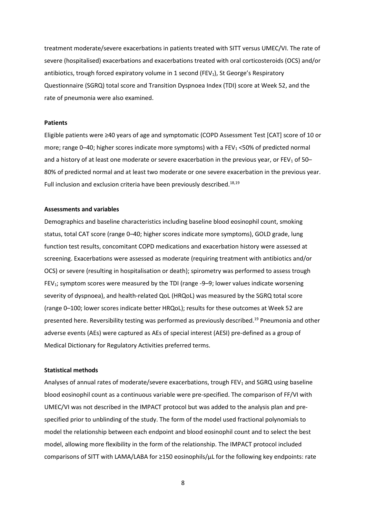treatment moderate/severe exacerbations in patients treated with SITT versus UMEC/VI. The rate of severe (hospitalised) exacerbations and exacerbations treated with oral corticosteroids (OCS) and/or antibiotics, trough forced expiratory volume in 1 second (FEV<sub>1</sub>), St George's Respiratory Questionnaire (SGRQ) total score and Transition Dyspnoea Index (TDI) score at Week 52, and the rate of pneumonia were also examined.

#### **Patients**

Eligible patients were ≥40 years of age and symptomatic (COPD Assessment Test [CAT] score of 10 or more; range 0–40; higher scores indicate more symptoms) with a FEV<sub>1</sub> <50% of predicted normal and a history of at least one moderate or severe exacerbation in the previous year, or  $FEV<sub>1</sub>$  of 50– 80% of predicted normal and at least two moderate or one severe exacerbation in the previous year. Full inclusion and exclusion criteria have been previously described.<sup>18,19</sup>

## **Assessments and variables**

Demographics and baseline characteristics including baseline blood eosinophil count, smoking status, total CAT score (range 0–40; higher scores indicate more symptoms), GOLD grade, lung function test results, concomitant COPD medications and exacerbation history were assessed at screening. Exacerbations were assessed as moderate (requiring treatment with antibiotics and/or OCS) or severe (resulting in hospitalisation or death); spirometry was performed to assess trough FEV<sub>1</sub>; symptom scores were measured by the TDI (range -9–9; lower values indicate worsening severity of dyspnoea), and health-related QoL (HRQoL) was measured by the SGRQ total score (range 0–100; lower scores indicate better HRQoL); results for these outcomes at Week 52 are presented here. Reversibility testing was performed as previously described.<sup>19</sup> Pneumonia and other adverse events (AEs) were captured as AEs of special interest (AESI) pre-defined as a group of Medical Dictionary for Regulatory Activities preferred terms.

#### **Statistical methods**

Analyses of annual rates of moderate/severe exacerbations, trough FEV<sub>1</sub> and SGRQ using baseline blood eosinophil count as a continuous variable were pre-specified. The comparison of FF/VI with UMEC/VI was not described in the IMPACT protocol but was added to the analysis plan and prespecified prior to unblinding of the study. The form of the model used fractional polynomials to model the relationship between each endpoint and blood eosinophil count and to select the best model, allowing more flexibility in the form of the relationship. The IMPACT protocol included comparisons of SITT with LAMA/LABA for ≥150 eosinophils/µL for the following key endpoints: rate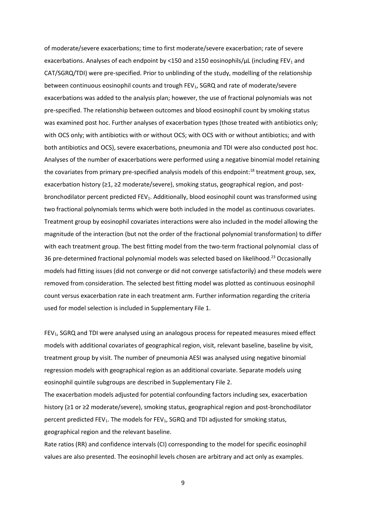of moderate/severe exacerbations; time to first moderate/severe exacerbation; rate of severe exacerbations. Analyses of each endpoint by <150 and ≥150 eosinophils/ $\mu$ L (including FEV<sub>1</sub> and CAT/SGRQ/TDI) were pre-specified. Prior to unblinding of the study, modelling of the relationship between continuous eosinophil counts and trough FEV<sub>1</sub>, SGRQ and rate of moderate/severe exacerbations was added to the analysis plan; however, the use of fractional polynomials was not pre-specified. The relationship between outcomes and blood eosinophil count by smoking status was examined post hoc. Further analyses of exacerbation types (those treated with antibiotics only; with OCS only; with antibiotics with or without OCS; with OCS with or without antibiotics; and with both antibiotics and OCS), severe exacerbations, pneumonia and TDI were also conducted post hoc. Analyses of the number of exacerbations were performed using a negative binomial model retaining the covariates from primary pre-specified analysis models of this endpoint:<sup>18</sup> treatment group, sex, exacerbation history (≥1, ≥2 moderate/severe), smoking status, geographical region, and postbronchodilator percent predicted FEV1. Additionally, blood eosinophil count was transformed using two fractional polynomials terms which were both included in the model as continuous covariates. Treatment group by eosinophil covariates interactions were also included in the model allowing the magnitude of the interaction (but not the order of the fractional polynomial transformation) to differ with each treatment group. The best fitting model from the two-term fractional polynomial class of 36 pre-determined fractional polynomial models was selected based on likelihood.<sup>23</sup> Occasionally models had fitting issues (did not converge or did not converge satisfactorily) and these models were removed from consideration. The selected best fitting model was plotted as continuous eosinophil count versus exacerbation rate in each treatment arm. Further information regarding the criteria used for model selection is included in Supplementary File 1.

FEV<sub>1</sub>, SGRQ and TDI were analysed using an analogous process for repeated measures mixed effect models with additional covariates of geographical region, visit, relevant baseline, baseline by visit, treatment group by visit. The number of pneumonia AESI was analysed using negative binomial regression models with geographical region as an additional covariate. Separate models using eosinophil quintile subgroups are described in Supplementary File 2.

The exacerbation models adjusted for potential confounding factors including sex, exacerbation history (≥1 or ≥2 moderate/severe), smoking status, geographical region and post-bronchodilator percent predicted FEV<sub>1</sub>. The models for FEV<sub>1</sub>, SGRQ and TDI adjusted for smoking status, geographical region and the relevant baseline.

Rate ratios (RR) and confidence intervals (CI) corresponding to the model for specific eosinophil values are also presented. The eosinophil levels chosen are arbitrary and act only as examples.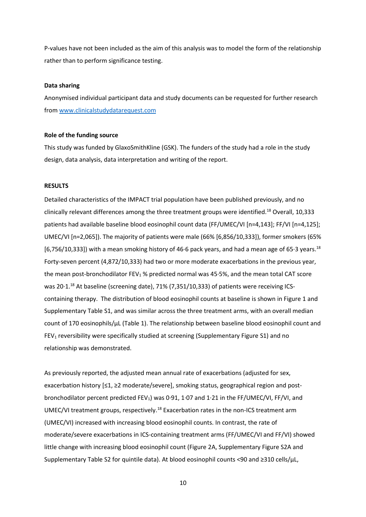P-values have not been included as the aim of this analysis was to model the form of the relationship rather than to perform significance testing.

# **Data sharing**

Anonymised individual participant data and study documents can be requested for further research from [www.clinicalstudydatarequest.com](http://www.clinicalstudydatarequest.com/)

## **Role of the funding source**

This study was funded by GlaxoSmithKline (GSK). The funders of the study had a role in the study design, data analysis, data interpretation and writing of the report.

## **RESULTS**

Detailed characteristics of the IMPACT trial population have been published previously, and no clinically relevant differences among the three treatment groups were identified.<sup>18</sup> Overall, 10,333 patients had available baseline blood eosinophil count data (FF/UMEC/VI [n=4,143]; FF/VI [n=4,125]; UMEC/VI [n=2,065]). The majority of patients were male (66% [6,856/10,333]), former smokers (65% [6,756/10,333]) with a mean smoking history of 46.6 pack years, and had a mean age of 65.3 years.<sup>18</sup> Forty-seven percent (4,872/10,333) had two or more moderate exacerbations in the previous year, the mean post-bronchodilator FEV<sub>1</sub> % predicted normal was 45.5%, and the mean total CAT score was 20.1.<sup>18</sup> At baseline (screening date), 71% (7,351/10,333) of patients were receiving ICScontaining therapy. The distribution of blood eosinophil counts at baseline is shown in Figure 1 and Supplementary Table S1, and was similar across the three treatment arms, with an overall median count of 170 eosinophils/ $\mu$ L (Table 1). The relationship between baseline blood eosinophil count and FEV<sub>1</sub> reversibility were specifically studied at screening (Supplementary Figure S1) and no relationship was demonstrated.

As previously reported, the adjusted mean annual rate of exacerbations (adjusted for sex, exacerbation history [≤1, ≥2 moderate/severe], smoking status, geographical region and postbronchodilator percent predicted FEV1) was 0·91, 1·07 and 1·21 in the FF/UMEC/VI, FF/VI, and UMEC/VI treatment groups, respectively.<sup>18</sup> Exacerbation rates in the non-ICS treatment arm (UMEC/VI) increased with increasing blood eosinophil counts. In contrast, the rate of moderate/severe exacerbations in ICS-containing treatment arms (FF/UMEC/VI and FF/VI) showed little change with increasing blood eosinophil count (Figure 2A, Supplementary Figure S2A and Supplementary Table S2 for quintile data). At blood eosinophil counts <90 and ≥310 cells/µL,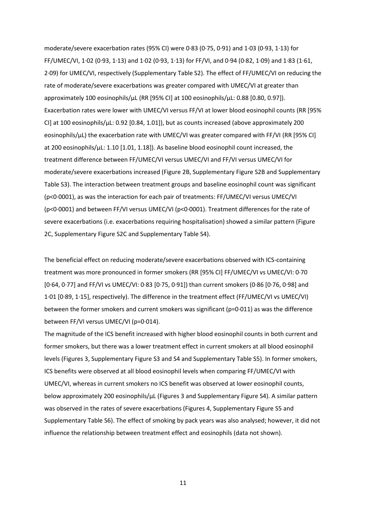moderate/severe exacerbation rates (95% CI) were 0·83 (0·75, 0·91) and 1·03 (0·93, 1·13) for FF/UMEC/VI, 1·02 (0·93, 1·13) and 1·02 (0·93, 1·13) for FF/VI, and 0·94 (0·82, 1·09) and 1·83 (1·61, 2·09) for UMEC/VI, respectively (Supplementary Table S2). The effect of FF/UMEC/VI on reducing the rate of moderate/severe exacerbations was greater compared with UMEC/VI at greater than approximately 100 eosinophils/µL (RR [95% CI] at 100 eosinophils/µL: 0.88 [0.80, 0.97]). Exacerbation rates were lower with UMEC/VI versus FF/VI at lower blood eosinophil counts (RR [95% CI] at 100 eosinophils/ $\mu$ L: 0.92 [0.84, 1.01]), but as counts increased (above approximately 200 eosinophils/µL) the exacerbation rate with UMEC/VI was greater compared with FF/VI (RR [95% CI] at 200 eosinophils/µL: 1.10 [1.01, 1.18]). As baseline blood eosinophil count increased, the treatment difference between FF/UMEC/VI versus UMEC/VI and FF/VI versus UMEC/VI for moderate/severe exacerbations increased (Figure 2B, Supplementary Figure S2B and Supplementary Table S3). The interaction between treatment groups and baseline eosinophil count was significant (p<0·0001), as was the interaction for each pair of treatments: FF/UMEC/VI versus UMEC/VI (p<0·0001) and between FF/VI versus UMEC/VI (p<0·0001). Treatment differences for the rate of severe exacerbations (i.e. exacerbations requiring hospitalisation) showed a similar pattern (Figure 2C, Supplementary Figure S2C and Supplementary Table S4).

The beneficial effect on reducing moderate/severe exacerbations observed with ICS-containing treatment was more pronounced in former smokers (RR [95% CI] FF/UMEC/VI vs UMEC/VI: 0·70 [0·64, 0·77] and FF/VI vs UMEC/VI: 0·83 [0·75, 0·91]) than current smokers (0·86 [0·76, 0·98] and 1·01 [0·89, 1·15], respectively). The difference in the treatment effect (FF/UMEC/VI vs UMEC/VI) between the former smokers and current smokers was significant (p=0·011) as was the difference between FF/VI versus UMEC/VI (p=0·014).

The magnitude of the ICS benefit increased with higher blood eosinophil counts in both current and former smokers, but there was a lower treatment effect in current smokers at all blood eosinophil levels (Figures 3, Supplementary Figure S3 and S4 and Supplementary Table S5). In former smokers, ICS benefits were observed at all blood eosinophil levels when comparing FF/UMEC/VI with UMEC/VI, whereas in current smokers no ICS benefit was observed at lower eosinophil counts, below approximately 200 eosinophils/µL (Figures 3 and Supplementary Figure S4). A similar pattern was observed in the rates of severe exacerbations (Figures 4, Supplementary Figure S5 and Supplementary Table S6). The effect of smoking by pack years was also analysed; however, it did not influence the relationship between treatment effect and eosinophils (data not shown).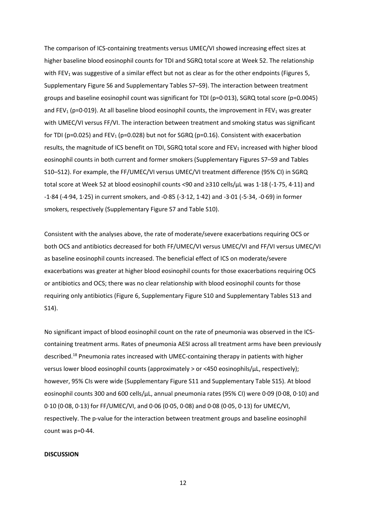The comparison of ICS-containing treatments versus UMEC/VI showed increasing effect sizes at higher baseline blood eosinophil counts for TDI and SGRQ total score at Week 52. The relationship with FEV<sub>1</sub> was suggestive of a similar effect but not as clear as for the other endpoints (Figures 5, Supplementary Figure S6 and Supplementary Tables S7–S9). The interaction between treatment groups and baseline eosinophil count was significant for TDI (p=0·013), SGRQ total score (p=0.0045) and FEV<sub>1</sub> (p=0.019). At all baseline blood eosinophil counts, the improvement in FEV<sub>1</sub> was greater with UMEC/VI versus FF/VI. The interaction between treatment and smoking status was significant for TDI (p=0.025) and FEV<sub>1</sub> (p=0.028) but not for SGRQ (p=0.16). Consistent with exacerbation results, the magnitude of ICS benefit on TDI, SGRQ total score and FEV1 increased with higher blood eosinophil counts in both current and former smokers (Supplementary Figures S7–S9 and Tables S10–S12). For example, the FF/UMEC/VI versus UMEC/VI treatment difference (95% CI) in SGRQ total score at Week 52 at blood eosinophil counts <90 and ≥310 cells/µL was 1·18 (-1·75, 4·11) and -1·84 (-4·94, 1·25) in current smokers, and -0·85 (-3·12, 1·42) and -3·01 (-5·34, -0·69) in former smokers, respectively (Supplementary Figure S7 and Table S10).

Consistent with the analyses above, the rate of moderate/severe exacerbations requiring OCS or both OCS and antibiotics decreased for both FF/UMEC/VI versus UMEC/VI and FF/VI versus UMEC/VI as baseline eosinophil counts increased. The beneficial effect of ICS on moderate/severe exacerbations was greater at higher blood eosinophil counts for those exacerbations requiring OCS or antibiotics and OCS; there was no clear relationship with blood eosinophil counts for those requiring only antibiotics (Figure 6, Supplementary Figure S10 and Supplementary Tables S13 and S14).

No significant impact of blood eosinophil count on the rate of pneumonia was observed in the ICScontaining treatment arms. Rates of pneumonia AESI across all treatment arms have been previously described.<sup>18</sup> Pneumonia rates increased with UMEC-containing therapy in patients with higher versus lower blood eosinophil counts (approximately > or <450 eosinophils/µL, respectively); however, 95% CIs were wide (Supplementary Figure S11 and Supplementary Table S15). At blood eosinophil counts 300 and 600 cells/µL, annual pneumonia rates (95% CI) were 0·09 (0·08, 0·10) and 0·10 (0·08, 0·13) for FF/UMEC/VI, and 0·06 (0·05, 0·08) and 0·08 (0·05, 0·13) for UMEC/VI, respectively. The p-value for the interaction between treatment groups and baseline eosinophil count was p=0·44.

#### **DISCUSSION**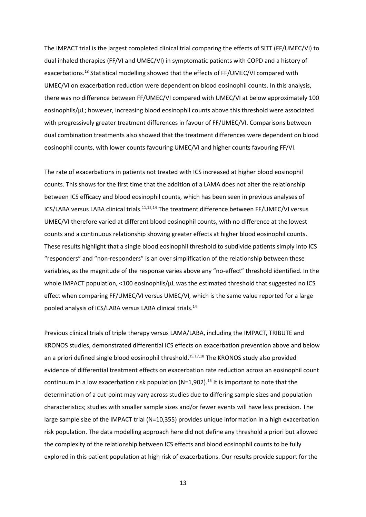The IMPACT trial is the largest completed clinical trial comparing the effects of SITT (FF/UMEC/VI) to dual inhaled therapies (FF/VI and UMEC/VI) in symptomatic patients with COPD and a history of exacerbations.<sup>18</sup> Statistical modelling showed that the effects of FF/UMEC/VI compared with UMEC/VI on exacerbation reduction were dependent on blood eosinophil counts. In this analysis, there was no difference between FF/UMEC/VI compared with UMEC/VI at below approximately 100 eosinophils/µL; however, increasing blood eosinophil counts above this threshold were associated with progressively greater treatment differences in favour of FF/UMEC/VI. Comparisons between dual combination treatments also showed that the treatment differences were dependent on blood eosinophil counts, with lower counts favouring UMEC/VI and higher counts favouring FF/VI.

The rate of exacerbations in patients not treated with ICS increased at higher blood eosinophil counts. This shows for the first time that the addition of a LAMA does not alter the relationship between ICS efficacy and blood eosinophil counts, which has been seen in previous analyses of ICS/LABA versus LABA clinical trials.<sup>11,12,14</sup> The treatment difference between FF/UMEC/VI versus UMEC/VI therefore varied at different blood eosinophil counts, with no difference at the lowest counts and a continuous relationship showing greater effects at higher blood eosinophil counts. These results highlight that a single blood eosinophil threshold to subdivide patients simply into ICS "responders" and "non-responders" is an over simplification of the relationship between these variables, as the magnitude of the response varies above any "no-effect" threshold identified. In the whole IMPACT population, <100 eosinophils/ $\mu$ L was the estimated threshold that suggested no ICS effect when comparing FF/UMEC/VI versus UMEC/VI, which is the same value reported for a large pooled analysis of ICS/LABA versus LABA clinical trials. 14

Previous clinical trials of triple therapy versus LAMA/LABA, including the IMPACT, TRIBUTE and KRONOS studies, demonstrated differential ICS effects on exacerbation prevention above and below an a priori defined single blood eosinophil threshold.<sup>15,17,18</sup> The KRONOS study also provided evidence of differential treatment effects on exacerbation rate reduction across an eosinophil count continuum in a low exacerbation risk population (N=1,902).<sup>15</sup> It is important to note that the determination of a cut-point may vary across studies due to differing sample sizes and population characteristics; studies with smaller sample sizes and/or fewer events will have less precision. The large sample size of the IMPACT trial (N=10,355) provides unique information in a high exacerbation risk population. The data modelling approach here did not define any threshold a priori but allowed the complexity of the relationship between ICS effects and blood eosinophil counts to be fully explored in this patient population at high risk of exacerbations. Our results provide support for the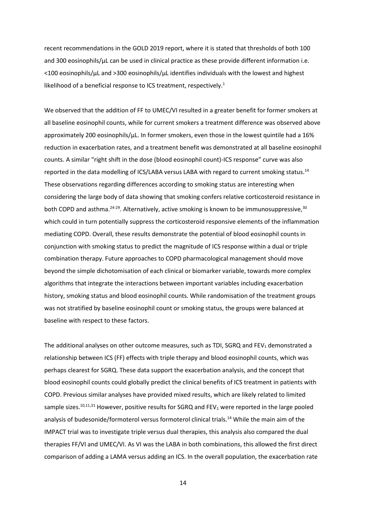recent recommendations in the GOLD 2019 report, where it is stated that thresholds of both 100 and 300 eosinophils/ $\mu$ L can be used in clinical practice as these provide different information i.e. <100 eosinophils/µL and >300 eosinophils/µL identifies individuals with the lowest and highest likelihood of a beneficial response to ICS treatment, respectively.<sup>1</sup>

We observed that the addition of FF to UMEC/VI resulted in a greater benefit for former smokers at all baseline eosinophil counts, while for current smokers a treatment difference was observed above approximately 200 eosinophils/ $\mu$ L. In former smokers, even those in the lowest quintile had a 16% reduction in exacerbation rates, and a treatment benefit was demonstrated at all baseline eosinophil counts. A similar "right shift in the dose (blood eosinophil count)-ICS response" curve was also reported in the data modelling of ICS/LABA versus LABA with regard to current smoking status.<sup>14</sup> These observations regarding differences according to smoking status are interesting when considering the large body of data showing that smoking confers relative corticosteroid resistance in both COPD and asthma.<sup>24-29</sup>. Alternatively, active smoking is known to be immunosuppressive,<sup>30</sup> which could in turn potentially suppress the corticosteroid responsive elements of the inflammation mediating COPD. Overall, these results demonstrate the potential of blood eosinophil counts in conjunction with smoking status to predict the magnitude of ICS response within a dual or triple combination therapy. Future approaches to COPD pharmacological management should move beyond the simple dichotomisation of each clinical or biomarker variable, towards more complex algorithms that integrate the interactions between important variables including exacerbation history, smoking status and blood eosinophil counts. While randomisation of the treatment groups was not stratified by baseline eosinophil count or smoking status, the groups were balanced at baseline with respect to these factors.

The additional analyses on other outcome measures, such as TDI, SGRQ and FEV $_1$  demonstrated a relationship between ICS (FF) effects with triple therapy and blood eosinophil counts, which was perhaps clearest for SGRQ. These data support the exacerbation analysis, and the concept that blood eosinophil counts could globally predict the clinical benefits of ICS treatment in patients with COPD. Previous similar analyses have provided mixed results, which are likely related to limited sample sizes.<sup>10,11,31</sup> However, positive results for SGRQ and FEV<sub>1</sub> were reported in the large pooled analysis of budesonide/formoterol versus formoterol clinical trials.<sup>14</sup> While the main aim of the IMPACT trial was to investigate triple versus dual therapies, this analysis also compared the dual therapies FF/VI and UMEC/VI. As VI was the LABA in both combinations, this allowed the first direct comparison of adding a LAMA versus adding an ICS. In the overall population, the exacerbation rate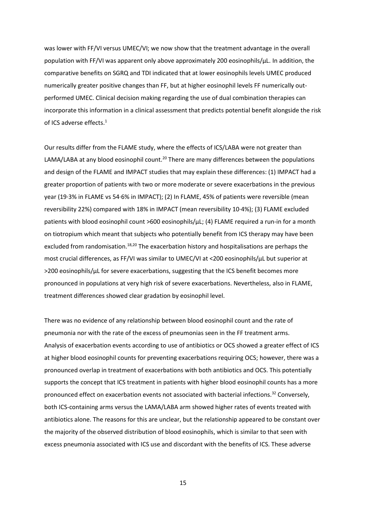was lower with FF/VI versus UMEC/VI; we now show that the treatment advantage in the overall population with FF/VI was apparent only above approximately 200 eosinophils/µL. In addition, the comparative benefits on SGRQ and TDI indicated that at lower eosinophils levels UMEC produced numerically greater positive changes than FF, but at higher eosinophil levels FF numerically outperformed UMEC. Clinical decision making regarding the use of dual combination therapies can incorporate this information in a clinical assessment that predicts potential benefit alongside the risk of ICS adverse effects.<sup>1</sup>

Our results differ from the FLAME study, where the effects of ICS/LABA were not greater than LAMA/LABA at any blood eosinophil count.<sup>20</sup> There are many differences between the populations and design of the FLAME and IMPACT studies that may explain these differences: (1) IMPACT had a greater proportion of patients with two or more moderate or severe exacerbations in the previous year (19·3% in FLAME vs 54·6% in IMPACT); (2) In FLAME, 45% of patients were reversible (mean reversibility 22%) compared with 18% in IMPACT (mean reversibility 10·4%); (3) FLAME excluded patients with blood eosinophil count >600 eosinophils/µL; (4) FLAME required a run-in for a month on tiotropium which meant that subjects who potentially benefit from ICS therapy may have been excluded from randomisation.<sup>18,20</sup> The exacerbation history and hospitalisations are perhaps the most crucial differences, as FF/VI was similar to UMEC/VI at <200 eosinophils/µL but superior at >200 eosinophils/µL for severe exacerbations, suggesting that the ICS benefit becomes more pronounced in populations at very high risk of severe exacerbations. Nevertheless, also in FLAME, treatment differences showed clear gradation by eosinophil level.

There was no evidence of any relationship between blood eosinophil count and the rate of pneumonia nor with the rate of the excess of pneumonias seen in the FF treatment arms. Analysis of exacerbation events according to use of antibiotics or OCS showed a greater effect of ICS at higher blood eosinophil counts for preventing exacerbations requiring OCS; however, there was a pronounced overlap in treatment of exacerbations with both antibiotics and OCS. This potentially supports the concept that ICS treatment in patients with higher blood eosinophil counts has a more pronounced effect on exacerbation events not associated with bacterial infections.<sup>32</sup> Conversely, both ICS-containing arms versus the LAMA/LABA arm showed higher rates of events treated with antibiotics alone. The reasons for this are unclear, but the relationship appeared to be constant over the majority of the observed distribution of blood eosinophils, which is similar to that seen with excess pneumonia associated with ICS use and discordant with the benefits of ICS. These adverse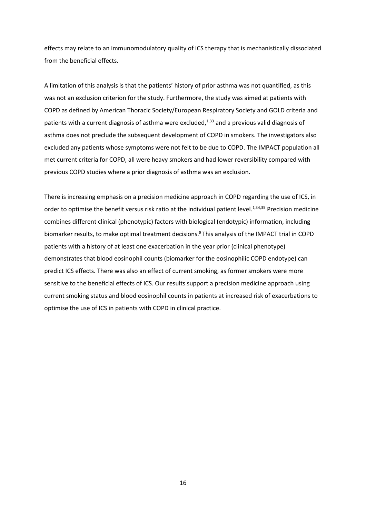effects may relate to an immunomodulatory quality of ICS therapy that is mechanistically dissociated from the beneficial effects.

A limitation of this analysis is that the patients' history of prior asthma was not quantified, as this was not an exclusion criterion for the study. Furthermore, the study was aimed at patients with COPD as defined by American Thoracic Society/European Respiratory Society and GOLD criteria and patients with a current diagnosis of asthma were excluded, $1,33$  and a previous valid diagnosis of asthma does not preclude the subsequent development of COPD in smokers. The investigators also excluded any patients whose symptoms were not felt to be due to COPD. The IMPACT population all met current criteria for COPD, all were heavy smokers and had lower reversibility compared with previous COPD studies where a prior diagnosis of asthma was an exclusion.

There is increasing emphasis on a precision medicine approach in COPD regarding the use of ICS, in order to optimise the benefit versus risk ratio at the individual patient level.<sup>1,34,35</sup> Precision medicine combines different clinical (phenotypic) factors with biological (endotypic) information, including biomarker results, to make optimal treatment decisions.<sup>9</sup> This analysis of the IMPACT trial in COPD patients with a history of at least one exacerbation in the year prior (clinical phenotype) demonstrates that blood eosinophil counts (biomarker for the eosinophilic COPD endotype) can predict ICS effects. There was also an effect of current smoking, as former smokers were more sensitive to the beneficial effects of ICS. Our results support a precision medicine approach using current smoking status and blood eosinophil counts in patients at increased risk of exacerbations to optimise the use of ICS in patients with COPD in clinical practice.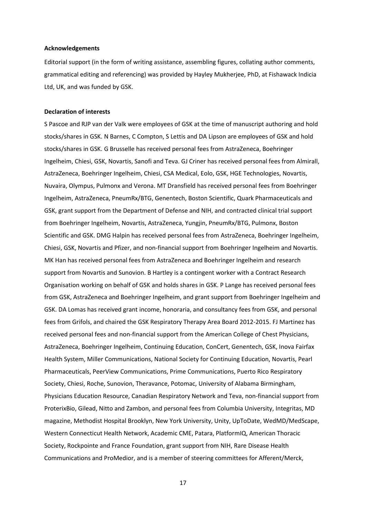## **Acknowledgements**

Editorial support (in the form of writing assistance, assembling figures, collating author comments, grammatical editing and referencing) was provided by Hayley Mukherjee, PhD, at Fishawack Indicia Ltd, UK, and was funded by GSK.

## **Declaration of interests**

S Pascoe and RJP van der Valk were employees of GSK at the time of manuscript authoring and hold stocks/shares in GSK. N Barnes, C Compton, S Lettis and DA Lipson are employees of GSK and hold stocks/shares in GSK. G Brusselle has received personal fees from AstraZeneca, Boehringer Ingelheim, Chiesi, GSK, Novartis, Sanofi and Teva. GJ Criner has received personal fees from Almirall, AstraZeneca, Boehringer Ingelheim, Chiesi, CSA Medical, Eolo, GSK, HGE Technologies, Novartis, Nuvaira, Olympus, Pulmonx and Verona. MT Dransfield has received personal fees from Boehringer Ingelheim, AstraZeneca, PneumRx/BTG, Genentech, Boston Scientific, Quark Pharmaceuticals and GSK, grant support from the Department of Defense and NIH, and contracted clinical trial support from Boehringer Ingelheim, Novartis, AstraZeneca, Yungjin, PneumRx/BTG, Pulmonx, Boston Scientific and GSK. DMG Halpin has received personal fees from AstraZeneca, Boehringer Ingelheim, Chiesi, GSK, Novartis and Pfizer, and non-financial support from Boehringer Ingelheim and Novartis. MK Han has received personal fees from AstraZeneca and Boehringer Ingelheim and research support from Novartis and Sunovion. B Hartley is a contingent worker with a Contract Research Organisation working on behalf of GSK and holds shares in GSK. P Lange has received personal fees from GSK, AstraZeneca and Boehringer Ingelheim, and grant support from Boehringer Ingelheim and GSK. DA Lomas has received grant income, honoraria, and consultancy fees from GSK, and personal fees from Grifols, and chaired the GSK Respiratory Therapy Area Board 2012-2015. FJ Martinez has received personal fees and non-financial support from the American College of Chest Physicians, AstraZeneca, Boehringer Ingelheim, Continuing Education, ConCert, Genentech, GSK, Inova Fairfax Health System, Miller Communications, National Society for Continuing Education, Novartis, Pearl Pharmaceuticals, PeerView Communications, Prime Communications, Puerto Rico Respiratory Society, Chiesi, Roche, Sunovion, Theravance, Potomac, University of Alabama Birmingham, Physicians Education Resource, Canadian Respiratory Network and Teva, non-financial support from ProterixBio, Gilead, Nitto and Zambon, and personal fees from Columbia University, Integritas, MD magazine, Methodist Hospital Brooklyn, New York University, Unity, UpToDate, WedMD/MedScape, Western Connecticut Health Network, Academic CME, Patara, PlatformIQ, American Thoracic Society, Rockpointe and France Foundation, grant support from NIH, Rare Disease Health Communications and ProMedior, and is a member of steering committees for Afferent/Merck,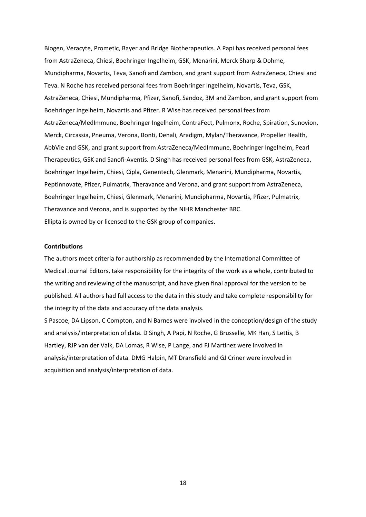Biogen, Veracyte, Prometic, Bayer and Bridge Biotherapeutics. A Papi has received personal fees from AstraZeneca, Chiesi, Boehringer Ingelheim, GSK, Menarini, Merck Sharp & Dohme, Mundipharma, Novartis, Teva, Sanofi and Zambon, and grant support from AstraZeneca, Chiesi and Teva. N Roche has received personal fees from Boehringer Ingelheim, Novartis, Teva, GSK, AstraZeneca, Chiesi, Mundipharma, Pfizer, Sanofi, Sandoz, 3M and Zambon, and grant support from Boehringer Ingelheim, Novartis and Pfizer. R Wise has received personal fees from AstraZeneca/MedImmune, Boehringer Ingelheim, ContraFect, Pulmonx, Roche, Spiration, Sunovion, Merck, Circassia, Pneuma, Verona, Bonti, Denali, Aradigm, Mylan/Theravance, Propeller Health, AbbVie and GSK, and grant support from AstraZeneca/MedImmune, Boehringer Ingelheim, Pearl Therapeutics, GSK and Sanofi-Aventis. D Singh has received personal fees from GSK, AstraZeneca, Boehringer Ingelheim, Chiesi, Cipla, Genentech, Glenmark, Menarini, Mundipharma, Novartis, Peptinnovate, Pfizer, Pulmatrix, Theravance and Verona, and grant support from AstraZeneca, Boehringer Ingelheim, Chiesi, Glenmark, Menarini, Mundipharma, Novartis, Pfizer, Pulmatrix, Theravance and Verona, and is supported by the NIHR Manchester BRC. Ellipta is owned by or licensed to the GSK group of companies.

### **Contributions**

The authors meet criteria for authorship as recommended by the International Committee of Medical Journal Editors, take responsibility for the integrity of the work as a whole, contributed to the writing and reviewing of the manuscript, and have given final approval for the version to be published. All authors had full access to the data in this study and take complete responsibility for the integrity of the data and accuracy of the data analysis.

S Pascoe, DA Lipson, C Compton, and N Barnes were involved in the conception/design of the study and analysis/interpretation of data. D Singh, A Papi, N Roche, G Brusselle, MK Han, S Lettis, B Hartley, RJP van der Valk, DA Lomas, R Wise, P Lange, and FJ Martinez were involved in analysis/interpretation of data. DMG Halpin, MT Dransfield and GJ Criner were involved in acquisition and analysis/interpretation of data.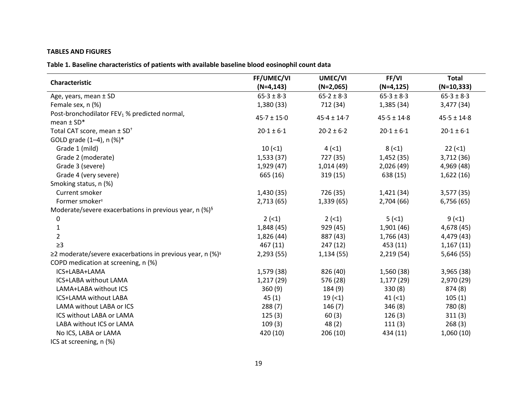# **TABLES AND FIGURES**

**Table 1. Baseline characteristics of patients with available baseline blood eosinophil count data**

| Characteristic                                               | FF/UMEC/VI      | UMEC/VI         | FF/VI           | <b>Total</b>    |
|--------------------------------------------------------------|-----------------|-----------------|-----------------|-----------------|
|                                                              | $(N=4, 143)$    | $(N=2,065)$     | $(N=4, 125)$    | $(N=10, 333)$   |
| Age, years, mean ± SD                                        | $65.3 \pm 8.3$  | $65.2 \pm 8.3$  | $65.3 \pm 8.3$  | $65.3 \pm 8.3$  |
| Female sex, n (%)                                            | 1,380(33)       | 712 (34)        | 1,385 (34)      | 3,477 (34)      |
| Post-bronchodilator FEV <sub>1</sub> % predicted normal,     |                 | $45.4 \pm 14.7$ | $45.5 \pm 14.8$ |                 |
| mean $\pm$ SD*                                               | $45.7 \pm 15.0$ |                 |                 | $45.5 \pm 14.8$ |
| Total CAT score, mean ± SD <sup>+</sup>                      | $20.1 \pm 6.1$  | $20.2 \pm 6.2$  | $20.1 \pm 6.1$  | $20.1 \pm 6.1$  |
| GOLD grade (1-4), n (%)*                                     |                 |                 |                 |                 |
| Grade 1 (mild)                                               | 10(1)           | 4(1)            | $8(-1)$         | $22 (-1)$       |
| Grade 2 (moderate)                                           | 1,533(37)       | 727 (35)        | 1,452(35)       | 3,712 (36)      |
| Grade 3 (severe)                                             | 1,929 (47)      | 1,014(49)       | 2,026(49)       | 4,969 (48)      |
| Grade 4 (very severe)                                        | 665 (16)        | 319(15)         | 638 (15)        | 1,622(16)       |
| Smoking status, n (%)                                        |                 |                 |                 |                 |
| Current smoker                                               | 1,430 (35)      | 726 (35)        | 1,421(34)       | 3,577(35)       |
| Former smoker <sup>#</sup>                                   | 2,713(65)       | 1,339(65)       | 2,704 (66)      | 6,756(65)       |
| Moderate/severe exacerbations in previous year, n $(%)^{\S}$ |                 |                 |                 |                 |
| 0                                                            | 2(1)            | $2 (-1)$        | 5(1)            | 9(1)            |
| $\mathbf{1}$                                                 | 1,848 (45)      | 929 (45)        | 1,901(46)       | 4,678 (45)      |
| $\overline{2}$                                               | 1,826 (44)      | 887 (43)        | 1,766 (43)      | 4,479 (43)      |
| $\geq$ 3                                                     | 467 (11)        | 247 (12)        | 453 (11)        | 1,167(11)       |
| ≥2 moderate/severe exacerbations in previous year, n (%)§    | 2,293(55)       | 1,134(55)       | 2,219(54)       | 5,646 (55)      |
| COPD medication at screening, n (%)                          |                 |                 |                 |                 |
| ICS+LABA+LAMA                                                | 1,579 (38)      | 826 (40)        | 1,560 (38)      | 3,965(38)       |
| ICS+LABA without LAMA                                        | 1,217 (29)      | 576 (28)        | 1,177(29)       | 2,970 (29)      |
| LAMA+LABA without ICS                                        | 360(9)          | 184 (9)         | 330(8)          | 874 (8)         |
| ICS+LAMA without LABA                                        | 45(1)           | 19(1)           | $41 (-1)$       | 105(1)          |
| LAMA without LABA or ICS                                     | 288(7)          | 146(7)          | 346(8)          | 780 (8)         |
| ICS without LABA or LAMA                                     | 125(3)          | 60(3)           | 126(3)          | 311(3)          |
| LABA without ICS or LAMA                                     | 109(3)          | 48(2)           | 111(3)          | 268(3)          |
| No ICS, LABA or LAMA                                         | 420 (10)        | 206(10)         | 434 (11)        | 1,060(10)       |
| ICS at screening, n (%)                                      |                 |                 |                 |                 |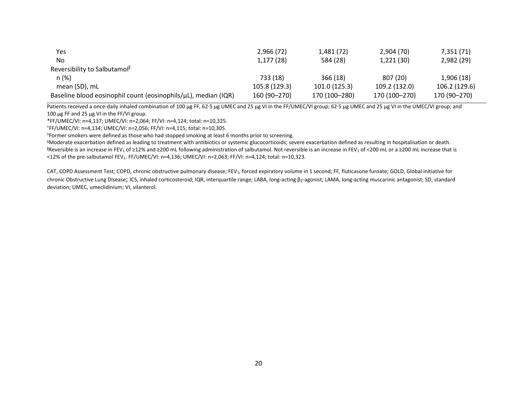| Yes                                                            | 2,966 (72)    | 1,481 (72)    | 2,904 (70)    | 7,351 (71)    |
|----------------------------------------------------------------|---------------|---------------|---------------|---------------|
| No                                                             | 1,177(28)     | 584 (28)      | 1,221(30)     | 2,982 (29)    |
| Reversibility to Salbutamol <sup>®</sup>                       |               |               |               |               |
| n(%)                                                           | 733 (18)      | 366(18)       | 807 (20)      | 1,906(18)     |
| mean (SD), mL                                                  | 105.8 (129.3) | 101.0 (125.3) | 109.2 (132.0) | 106.2 (129.6) |
| Baseline blood eosinophil count (eosinophils/uL), median (IQR) | 160 (90-270)  | 170 (100-280) | 170 (100-270) | 170 (90-270)  |

Patients received a once-daily inhaled combination of 100 µg FF, 62.5 µg UMEC and 25 µg VI in the FF/UMEC/VI group; 62.5 µg UMEC and 25 µg VI in the UMEC/VI group; and 100 µg FF and 25 µg VI in the FF/VI group.

\*FF/UMEC/VI: n=4,137; UMEC/VI: n=2,064; FF/VI: n=4,124; total: n=10,325.

†FF/UMEC/VI: n=4,134; UMEC/VI: n=2,056; FF/VI: n=4,115; total: n=10,305.

‡Former smokers were defined as those who had stopped smoking at least 6 months prior to screening.

§Moderate exacerbation defined as leading to treatment with antibiotics or systemic glucocorticoids; severe exacerbation defined as resulting in hospitalisation or death. IReversible is an increase in FEV<sub>1</sub> of ≥12% and ≥200 mL following administration of salbutamol. Not reversible is an increase in FEV<sub>1</sub> of <200 mL or a ≥200 mL increase that is  $<$ 12% of the pre-salbutamol FEV<sub>1</sub>. FF/UMEC/VI: n=4,136; UMEC/VI: n=2,063; FF/VI: n=4,124; total: n=10,323.

CAT, COPD Assessment Test; COPD, chronic obstructive pulmonary disease; FEV<sub>1</sub>, forced expiratory volume in 1 second; FF, fluticasone furoate; GOLD, Global initiative for chronic Obstructive Lung Disease; ICS, inhaled corticosteroid; IQR, interquartile range; LABA, long-acting β2-agonist; LAMA, long-acting muscarinic antagonist; SD, standard deviation; UMEC, umeclidinium; VI, vilanterol.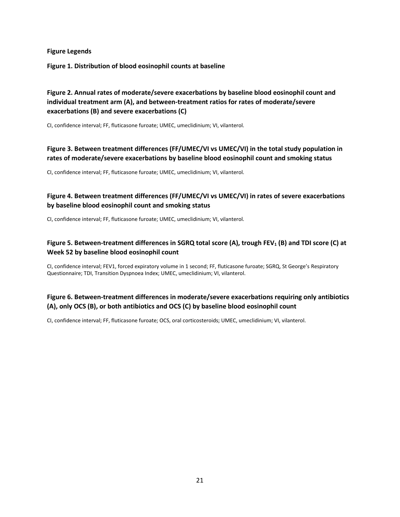**Figure Legends**

**Figure 1. Distribution of blood eosinophil counts at baseline**

# **Figure 2. Annual rates of moderate/severe exacerbations by baseline blood eosinophil count and individual treatment arm (A), and between-treatment ratios for rates of moderate/severe exacerbations (B) and severe exacerbations (C)**

CI, confidence interval; FF, fluticasone furoate; UMEC, umeclidinium; VI, vilanterol.

# **Figure 3. Between treatment differences (FF/UMEC/VI vs UMEC/VI) in the total study population in rates of moderate/severe exacerbations by baseline blood eosinophil count and smoking status**

CI, confidence interval; FF, fluticasone furoate; UMEC, umeclidinium; VI, vilanterol.

# **Figure 4. Between treatment differences (FF/UMEC/VI vs UMEC/VI) in rates of severe exacerbations by baseline blood eosinophil count and smoking status**

CI, confidence interval; FF, fluticasone furoate; UMEC, umeclidinium; VI, vilanterol.

# **Figure 5. Between-treatment differences in SGRQ total score (A), trough FEV<sup>1</sup> (B) and TDI score (C) at Week 52 by baseline blood eosinophil count**

CI, confidence interval; FEV1, forced expiratory volume in 1 second; FF, fluticasone furoate; SGRQ, St George's Respiratory Questionnaire; TDI, Transition Dyspnoea Index; UMEC, umeclidinium; VI, vilanterol.

# **Figure 6. Between-treatment differences in moderate/severe exacerbations requiring only antibiotics (A), only OCS (B), or both antibiotics and OCS (C) by baseline blood eosinophil count**

CI, confidence interval; FF, fluticasone furoate; OCS, oral corticosteroids; UMEC, umeclidinium; VI, vilanterol.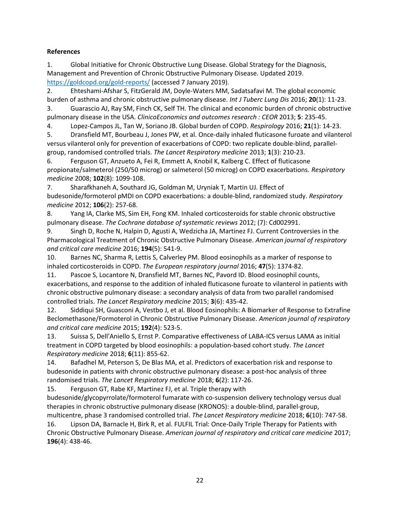# **References**

1. Global Initiative for Chronic Obstructive Lung Disease. Global Strategy for the Diagnosis, Management and Prevention of Chronic Obstructive Pulmonary Disease. Updated 2019. <https://goldcopd.org/gold-reports/> (accessed 7 January 2019).

2. Ehteshami-Afshar S, FitzGerald JM, Doyle-Waters MM, Sadatsafavi M. The global economic burden of asthma and chronic obstructive pulmonary disease. *Int J Tuberc Lung Dis* 2016; **20**(1): 11-23.

3. Guarascio AJ, Ray SM, Finch CK, Self TH. The clinical and economic burden of chronic obstructive pulmonary disease in the USA. *ClinicoEconomics and outcomes research : CEOR* 2013; **5**: 235-45.

4. Lopez-Campos JL, Tan W, Soriano JB. Global burden of COPD. *Respirology* 2016; **21**(1): 14-23.

5. Dransfield MT, Bourbeau J, Jones PW, et al. Once-daily inhaled fluticasone furoate and vilanterol versus vilanterol only for prevention of exacerbations of COPD: two replicate double-blind, parallelgroup, randomised controlled trials. *The Lancet Respiratory medicine* 2013; **1**(3): 210-23.

6. Ferguson GT, Anzueto A, Fei R, Emmett A, Knobil K, Kalberg C. Effect of fluticasone propionate/salmeterol (250/50 microg) or salmeterol (50 microg) on COPD exacerbations. *Respiratory medicine* 2008; **102**(8): 1099-108.

7. Sharafkhaneh A, Southard JG, Goldman M, Uryniak T, Martin UJ. Effect of budesonide/formoterol pMDI on COPD exacerbations: a double-blind, randomized study. *Respiratory medicine* 2012; **106**(2): 257-68.

8. Yang IA, Clarke MS, Sim EH, Fong KM. Inhaled corticosteroids for stable chronic obstructive pulmonary disease. *The Cochrane database of systematic reviews* 2012; (7): Cd002991.

9. Singh D, Roche N, Halpin D, Agusti A, Wedzicha JA, Martinez FJ. Current Controversies in the Pharmacological Treatment of Chronic Obstructive Pulmonary Disease. *American journal of respiratory and critical care medicine* 2016; **194**(5): 541-9.

10. Barnes NC, Sharma R, Lettis S, Calverley PM. Blood eosinophils as a marker of response to inhaled corticosteroids in COPD. *The European respiratory journal* 2016; **47**(5): 1374-82.

11. Pascoe S, Locantore N, Dransfield MT, Barnes NC, Pavord ID. Blood eosinophil counts, exacerbations, and response to the addition of inhaled fluticasone furoate to vilanterol in patients with chronic obstructive pulmonary disease: a secondary analysis of data from two parallel randomised controlled trials. *The Lancet Respiratory medicine* 2015; **3**(6): 435-42.

12. Siddiqui SH, Guasconi A, Vestbo J, et al. Blood Eosinophils: A Biomarker of Response to Extrafine Beclomethasone/Formoterol in Chronic Obstructive Pulmonary Disease. *American journal of respiratory and critical care medicine* 2015; **192**(4): 523-5.

13. Suissa S, Dell'Aniello S, Ernst P. Comparative effectiveness of LABA-ICS versus LAMA as initial treatment in COPD targeted by blood eosinophils: a population-based cohort study. *The Lancet Respiratory medicine* 2018; **6**(11): 855-62.

14. Bafadhel M, Peterson S, De Blas MA, et al. Predictors of exacerbation risk and response to budesonide in patients with chronic obstructive pulmonary disease: a post-hoc analysis of three randomised trials. *The Lancet Respiratory medicine* 2018; **6**(2): 117-26.

15. Ferguson GT, Rabe KF, Martinez FJ, et al. Triple therapy with budesonide/glycopyrrolate/formoterol fumarate with co-suspension delivery technology versus dual therapies in chronic obstructive pulmonary disease (KRONOS): a double-blind, parallel-group, multicentre, phase 3 randomised controlled trial. *The Lancet Respiratory medicine* 2018; **6**(10): 747-58.

16. Lipson DA, Barnacle H, Birk R, et al. FULFIL Trial: Once-Daily Triple Therapy for Patients with Chronic Obstructive Pulmonary Disease. *American journal of respiratory and critical care medicine* 2017; **196**(4): 438-46.